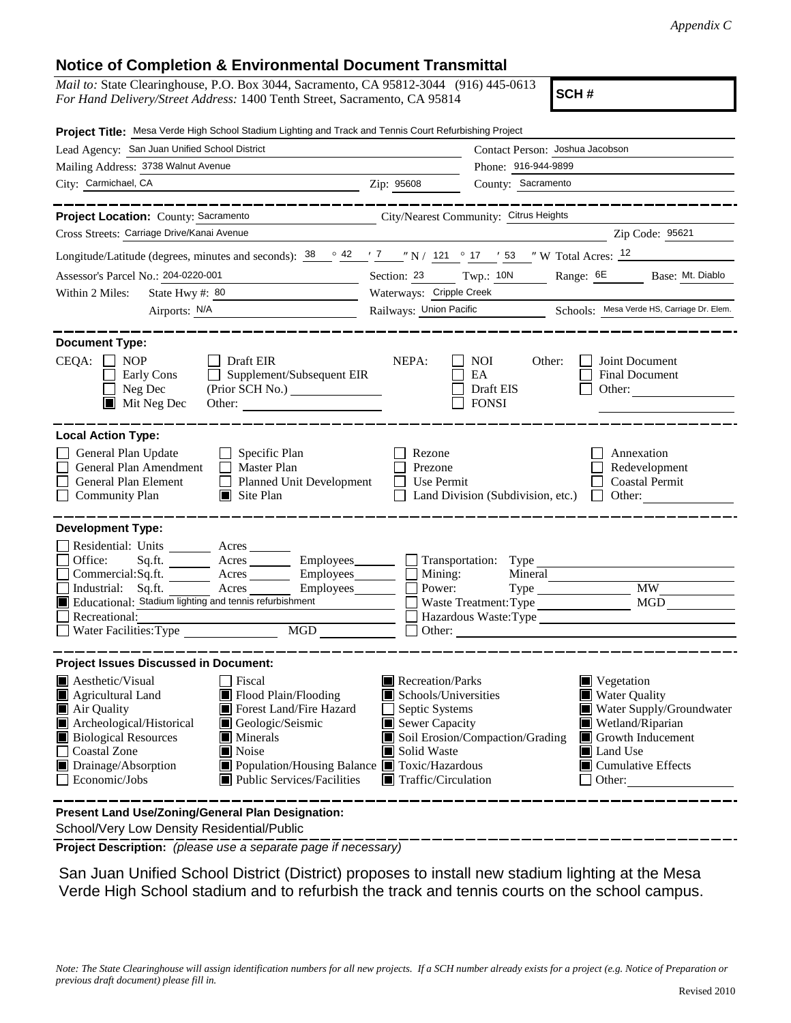## **Notice of Completion & Environmental Document Transmittal**

| <i>Mail to:</i> State Clearinghouse, P.O. Box 3044, Sacramento, CA 95812-3044 (916) 445-0613 |  |
|----------------------------------------------------------------------------------------------|--|
| For Hand Delivery/Street Address: 1400 Tenth Street, Sacramento, CA 95814                    |  |

**SCH #**

| Project Title: Mesa Verde High School Stadium Lighting and Track and Tennis Court Refurbishing Project                                                                                                                                                                                                                                                                                |                                                                                                                                   |                                                         |                                                                                                                                                                                                      |
|---------------------------------------------------------------------------------------------------------------------------------------------------------------------------------------------------------------------------------------------------------------------------------------------------------------------------------------------------------------------------------------|-----------------------------------------------------------------------------------------------------------------------------------|---------------------------------------------------------|------------------------------------------------------------------------------------------------------------------------------------------------------------------------------------------------------|
| Lead Agency: San Juan Unified School District                                                                                                                                                                                                                                                                                                                                         |                                                                                                                                   | Contact Person: Joshua Jacobson                         |                                                                                                                                                                                                      |
| Mailing Address: 3738 Walnut Avenue                                                                                                                                                                                                                                                                                                                                                   |                                                                                                                                   | Phone: 916-944-9899                                     |                                                                                                                                                                                                      |
| City: Carmichael, CA<br><u>2000 - 2001 - 2002 - 2003</u> Zip: 95608                                                                                                                                                                                                                                                                                                                   |                                                                                                                                   | County: Sacramento                                      |                                                                                                                                                                                                      |
| ------------                                                                                                                                                                                                                                                                                                                                                                          |                                                                                                                                   |                                                         | _____________                                                                                                                                                                                        |
| Project Location: County: Sacramento<br>City/Nearest Community: Citrus Heights                                                                                                                                                                                                                                                                                                        |                                                                                                                                   |                                                         |                                                                                                                                                                                                      |
| Cross Streets: Carriage Drive/Kanai Avenue                                                                                                                                                                                                                                                                                                                                            |                                                                                                                                   |                                                         | Zip Code: 95621                                                                                                                                                                                      |
| Longitude/Latitude (degrees, minutes and seconds): $\frac{38}{100}$ $\frac{42}{17}$ $\frac{7}{17}$ $\frac{7}{17}$ $\frac{121}{17}$ $\frac{121}{17}$ $\frac{121}{17}$ $\frac{121}{17}$ $\frac{121}{17}$                                                                                                                                                                                |                                                                                                                                   |                                                         |                                                                                                                                                                                                      |
| Assessor's Parcel No.: 204-0220-001<br><u> 1989 - Johann Barn, mars and de Branch Barn, mars and de Branch Barn, mars and de Branch Barn, mars and de Br</u>                                                                                                                                                                                                                          | Section: 23 Twp.: 10N                                                                                                             |                                                         | Range: 6E Base: Mt. Diablo                                                                                                                                                                           |
| Within 2 Miles:<br>State Hwy #: $80$                                                                                                                                                                                                                                                                                                                                                  | Waterways: Cripple Creek                                                                                                          |                                                         |                                                                                                                                                                                                      |
| Airports: N/A<br><u> 1980 - John Barn Barn, mars and de Barn Barn</u>                                                                                                                                                                                                                                                                                                                 |                                                                                                                                   |                                                         | Railways: Union Pacific Schools: Mesa Verde HS, Carriage Dr. Elem.                                                                                                                                   |
| <b>Document Type:</b><br>CEQA:<br><b>NOP</b><br>Draft EIR<br>Supplement/Subsequent EIR<br>Early Cons<br>Neg Dec<br>$\blacksquare$ Mit Neg Dec<br>Other:                                                                                                                                                                                                                               | NEPA:                                                                                                                             | <b>NOI</b><br>Other:<br>EA<br>Draft EIS<br><b>FONSI</b> | Joint Document<br>Final Document<br>Other:                                                                                                                                                           |
| <b>Local Action Type:</b><br>General Plan Update<br>Specific Plan<br>General Plan Amendment<br>$\Box$ Master Plan<br>General Plan Element<br>Planned Unit Development<br><b>Community Plan</b><br>$\Box$ Site Plan                                                                                                                                                                    | Rezone<br>Prezone<br>Use Permit                                                                                                   | Land Division (Subdivision, etc.)                       | Annexation<br>Redevelopment<br><b>Coastal Permit</b><br>Other:<br>$\perp$                                                                                                                            |
| <b>Development Type:</b>                                                                                                                                                                                                                                                                                                                                                              |                                                                                                                                   |                                                         |                                                                                                                                                                                                      |
| Residential: Units ________ Acres ______<br>Office:<br>Acres __________ Employees________<br>Sq.ft.<br>Commercial:Sq.ft. ________ Acres _______<br>Employees________<br>Industrial: Sq.ft.<br>Acres<br>Employees_________<br>Educational: Stadium lighting and tennis refurbishment<br><u> a shekara ta 1999 a shekara t</u><br>Recreational:<br><b>MGD</b><br>Water Facilities: Type | $\Box$ Mining:<br>Power:                                                                                                          |                                                         | <b>MW</b><br>MGD<br>Hazardous Waste:Type                                                                                                                                                             |
| <b>Project Issues Discussed in Document:</b>                                                                                                                                                                                                                                                                                                                                          |                                                                                                                                   |                                                         |                                                                                                                                                                                                      |
| Aesthetic/Visual<br>Fiscal<br>Flood Plain/Flooding<br>Agricultural Land<br>Forest Land/Fire Hazard<br>Air Quality<br>Archeological/Historical<br>Geologic/Seismic<br><b>Biological Resources</b><br>$\blacksquare$ Minerals<br><b>Coastal Zone</b><br>Noise<br>Drainage/Absorption<br>■ Population/Housing Balance ■ Toxic/Hazardous<br>Economic/Jobs<br>■ Public Services/Facilities | Recreation/Parks<br>Schools/Universities<br>Septic Systems<br>Sewer Capacity<br>Solid Waste<br>$\blacksquare$ Traffic/Circulation | Soil Erosion/Compaction/Grading                         | $\blacksquare$ Vegetation<br>■ Water Quality<br>Water Supply/Groundwater<br>$\blacksquare$ Wetland/Riparian<br>Growth Inducement<br><b>I</b> Land Use<br>$\blacksquare$ Cumulative Effects<br>Other: |
| Present Land Use/Zoning/General Plan Designation:                                                                                                                                                                                                                                                                                                                                     |                                                                                                                                   |                                                         |                                                                                                                                                                                                      |

School/Very Low Density Residential/Public

**Project Description:** *(please use a separate page if necessary)*

San Juan Unified School District (District) proposes to install new stadium lighting at the Mesa Verde High School stadium and to refurbish the track and tennis courts on the school campus.